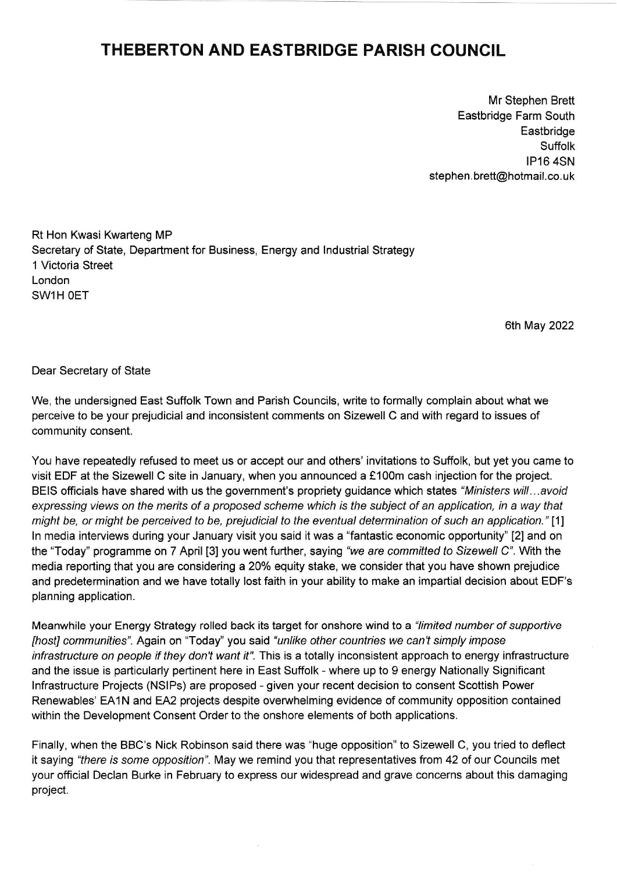## THEBERTON AND EASTBRIDGE PARISH COUNCIL

Mr Stephen Brett Eastbridge Farm South **Eastbridge** Suffolk IP16 4SN stephen. brett@hotmail.co. uk

Ri Hon Kwasi Kwarteng MP Secretary of State, Department for Business, Energy and lndustrial Strategy 1 Victoria Street London SW1H OET

6th May 2022

Dear Secretary of State

We, the undersigned East Suffolk Town and Parish Councils, write to formally complain about what we perceive to be your prejudicial and inconsistent comments on Sizewell C and with regard to issues of community consent.

You have repeatedly refused to meet us or accept our and others' invitations to Suffolk, but yet you came to visit EDF at the Sizewell C site in January, when you announced a €100m cash injection for the project. BEIS officials have shared with us the government's propriety guidance which states "Ministers will...avoid expressing views on the merits of a proposed scheme which is the subject of an application, in a way that might be, or might be perceived to be, prejudicial to the eventual determination of such an application." [1] ln media interviews during your January visit you said it was a "fantastic economic opportunity" [2] and on the "Today" programme on 7 April [3] you went further, saying 'we are commifted to Sizewell C". With the media reporting that you are considering a 20% equity stake, we consider that you have shown prejudice and predetermination and we have totally lost faith in your ability to make an impartial decision about EDF's planning application.

Meanwhile your Energy Strategy rolled back its target for onshore wind to a "limited number of supportive [host] communities". Again on "Today" you said "unlike other countries we can't simply impose infrastructure on people if they don't want it". This is a totally inconsistent approach to energy infrastructure and the issue is particularly pertinent here in East Suffolk - where up to g energy Nationally Significant lnfrastructure Projects (NSlPs) are proposed - given your recent decision to consent Scottish Power Renewables' EA1N and EA2 projects despite overwhelming evidence of community opposition contained within the Development Consent Order to the onshore elements of both applications.

Finally, when the BBC's Nick Robinson said there was "huge opposition" to Sizewell C, you tried to deflect it saying 'there is some opposition". May we remind you that representatives from 42 of our Councils met your official Declan Burke in February to express our widespread and grave concerns about this damaging project.